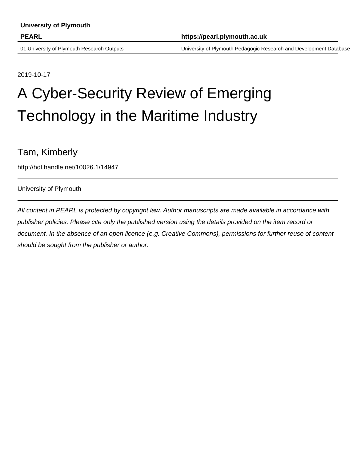01 University of Plymouth Research Outputs University of Plymouth Pedagogic Research and Development Database

2019-10-17

# A Cyber-Security Review of Emerging Technology in the Maritime Industry

# Tam, Kimberly

http://hdl.handle.net/10026.1/14947

# University of Plymouth

All content in PEARL is protected by copyright law. Author manuscripts are made available in accordance with publisher policies. Please cite only the published version using the details provided on the item record or document. In the absence of an open licence (e.g. Creative Commons), permissions for further reuse of content should be sought from the publisher or author.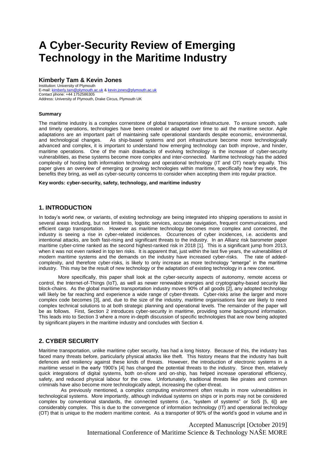# **A Cyber-Security Review of Emerging Technology in the Maritime Industry**

# **Kimberly Tam & Kevin Jones**

Institution: University of Plymouth E-mail[: kimberly.tam@plymouth.ac.uk](mailto:kimberly.tam@plymouth.ac.uk) [& kevin.jones@plymouth.ac.uk](mailto:kevin.jones@plymouth.ac.uk) Contact phone: +44 1752586305 Address: University of Plymouth, Drake Circus, Plymouth UK

#### **Summary**

The maritime industry is a complex cornerstone of global transportation infrastructure. To ensure smooth, safe and timely operations, technologies have been created or adapted over time to aid the maritime sector. Agile adaptations are an important part of maintaining safe operational standards despite economic, environmental, As ship-based systems and port infrastructure become more technologically advanced and complex, it is important to understand how emerging technology can both improve, and hinder, maritime operations. One of the main drawbacks of evolving technology is the increase of cyber-security vulnerabilities, as these systems become more complex and inter-connected. Maritime technology has the added complexity of hosting both information technology and operational technology (IT and OT) nearly equally. This paper gives an overview of emerging or growing technologies within maritime, specifically how they work, the benefits they bring, as well as cyber-security concerns to consider when accepting them into regular practice.

#### **Key words: cyber-security, safety, technology, and maritime industry**

# **1. INTRODUCTION**

In today's world new, or variants, of existing technology are being integrated into shipping operations to assist in several areas including, but not limited to, logistic services, accurate navigation, frequent communications, and efficient cargo transportation. However as maritime technology becomes more complex and connected, the industry is seeing a rise in cyber-related incidences. Occurrences of cyber incidences, i.e. accidents and intentional attacks, are both fast-rising and significant threats to the industry. In an Allianz risk barometer paper maritime cyber-crime ranked as the second highest-ranked risk in 2018 [1]. This is a significant jump from 2013, when it was not even ranked in top ten risks. It is apparent that, just within the last five years, the vulnerabilities of modern maritime systems and the demands on the industry have increased cyber-risks. The rate of addedcomplexity, and therefore cyber-risks, is likely to only increase as more technology "emerge" in the maritime industry. This may be the result of new technology or the adaptation of existing technology in a new context.

More specifically, this paper shall look at the cyber-security aspects of autonomy, remote access or control, the Internet-of-Things (IoT), as well as newer renewable energies and cryptography-based security like block-chains. As the global maritime transportation industry moves 90% of all goods [2], any adopted technology will likely be far reaching and experience a wide range of cyber-threats. Cyber-risks arise the larger and more complex code becomes [3], and, due to the size of the industry, maritime organisations face are likely to need complex technical solutions to at both strategic planning and operational levels. The remainder of the paper will be as follows. First, Section 2 introduces cyber-security in maritime, providing some background information. This leads into to Section 3 where a more in-depth discussion of specific technologies that are now being adopted by significant players in the maritime industry and concludes with Section 4.

# **2. CYBER SECURITY**

Maritime transportation, unlike maritime cyber security, has had a long history. Because of this, the industry has faced many threats before, particularly physical attacks like theft. This history means that the industry has built defences and resiliency against these kinds of threats. However, the introduction of electronic systems in a maritime vessel in the early 1900's [4] has changed the potential threats to the industry. Since then, relatively quick integrations of digital systems, both on-shore and on-ship, has helped increase operational efficiency, safety, and reduced physical labour for the crew. Unfortunately, traditional threats like pirates and common criminals have also become more technologically adept, increasing the cyber-threat.

 As previously mentioned, a complex computing environment often results in more vulnerabilities in technological systems. More importantly, although individual systems on ships or in ports may not be considered complex by conventional standards, the connected systems (i.e., "system of systems" or SoS [5, 6]) are considerably complex. This is due to the convergence of information technology (IT) and operational technology (OT) that is unique to the modern maritime context. As a transporter of 90% of the world's good in volume and in

> Accepted Manuscript [October 2019] International Conference of Maritime Science & Technology NAŠE MORE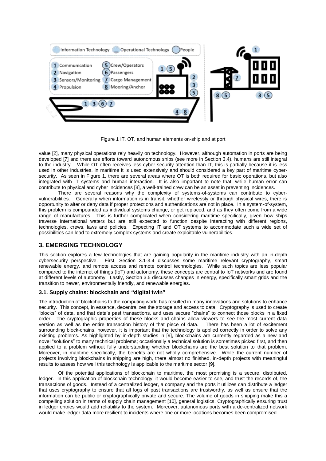

Figure 1 IT, OT, and human elements on-ship and at port

value [2], many physical operations rely heavily on technology. However, although automation in ports are being developed [7] and there are efforts toward autonomous ships (see more in Section 3.4), humans are still integral to the industry. While OT often receives less cyber-security attention than IT, this is partially because it is less used in other industries, in maritime it is used extensively and should considered a key part of maritime cybersecurity. As seen in Figure 1, there are several areas where OT is both required for basic operations, but also integrated with IT systems and human interaction. It is also important to note that, while human error can contribute to physical and cyber incidences [8], a well-trained crew can be an asset in preventing incidences.

There are several reasons why the complexity of systems-of-systems can contribute to cybervulnerabilities. Generally when information is in transit, whether wirelessly or through physical wires, there is opportunity to alter or deny data if proper protections and authentications are not in place. In a system-of-system, this problem is compounded as individual systems change, or get replaced, and as they often come from a wide range of manufactures. This is further complicated when considering maritime specifically, given how ships traverse international waters but are still expected to function despite interacting with different regions, technologies, crews, laws and policies. Expecting IT and OT systems to accommodate such a wide set of possibilities can lead to extremely complex systems and create exploitable vulnerabilities.

# **3. EMERGING TECHNOLOGY**

This section explores a few technologies that are gaining popularity in the maritime industry with an in-depth cybersecurity perspective. First, Section 3.1-3.4 discusses some maritime relevant cryptography, smart renewable energy, and remote access and remote control technologies. While such topics are less popular compared to the internet of things (IoT) and autonomy, these concepts are central to IoT networks and are found at different levels of autonomy. Lastly, Section 3.5 discusses changes in energy, specifically smart grids and the transition to newer, environmentally friendly, and renewable energies.

## **3.1. Supply chains: blockchain and "digital twin"**

The introduction of blockchains to the computing world has resulted in many innovations and solutions to enhance security. This concept, in essence, decentralizes the storage and access to data. Cryptography is used to create "blocks" of data, and that data's past transactions, and uses secure "chains" to connect those blocks in a fixed order. The cryptographic properties of these blocks and chains allow viewers to see the most current data version as well as the entire transaction history of that piece of data. There has been a lot of excitement surrounding block-chains, however, it is important that the technology is applied correctly in order to solve any existing problems. As highlighted by in-depth studies in [9], blockchains are currently regarded as a new and novel "solutions" to many technical problems; occasionally a technical solution is sometimes picked first, and then applied to a problem without fully understanding whether blockchains are the best solution to that problem. Moreover, in maritime specifically, the benefits are not wholly comprehensive. While the current number of projects involving blockchains in shipping are high, there almost no finished, in-depth projects with meaningful results to assess how well this technology is applicable to the maritime sector [9].

Of the potential applications of blockchain to maritime, the most promising is a secure, distributed, ledger. In this application of blockchain technology, it would become easier to see, and trust the records of, the transactions of goods. Instead of a centralized ledger, a company and the ports it utilizes can distribute a ledger that uses cryptography to ensure that all logs of past transactions are trustworthy, as well as ensure that the information can be public or cryptographically private and secure. The volume of goods in shipping make this a compelling solution in terms of supply chain management [10], general logistics. Cryptographically ensuring trust in ledger entries would add reliability to the system. Moreover, autonomous ports with a de-centralized network would make ledger data more resilient to incidents where one or more locations becomes been compromised.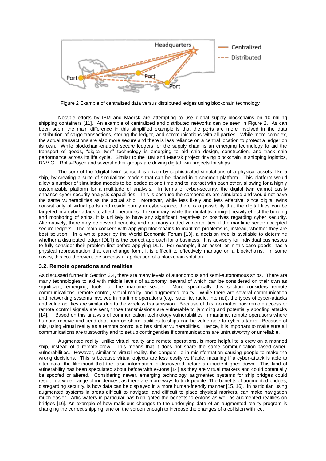

Figure 2 Example of centralized data versus distributed ledges using blockchain technology

Notable efforts by IBM and Maersk are attempting to use global supply blockchains on 10 milling shipping containers [11]. An example of centralized and distributed networks can be seen in Figure 2. As can been seen, the main difference in this simplified example is that the ports are more involved in the data distribution of cargo transactions, storing the ledger, and communications with all parties. While more complex, the actual transactions are also more secure and there is less reliance on a central location to protect a ledger on its own. While blockchain-enabled secure ledgers for the supply chain is an emerging technology to aid the transport of goods, "digital twin" technology is emerging to aid ship design, construction, and track ship performance across its life cycle. Similar to the IBM and Maersk project driving blockchain in shipping logistics, DNV GL, Rolls-Royce and several other groups are driving digital twin projects for ships.

The core of the "digital twin" concept is driven by sophisticated simulations of a physical assets, like a ship, by creating a suite of simulations models that can be placed in a common platform. This platform would allow a number of simulation models to be loaded at one time and to interact with each other, allowing for a highly customizable platform for a multitude of analysis. In terms of cyber-security, the digital twin cannot easily enhance cyber-security analysis capabilities. This is because the components are simulated and would not have the same vulnerabilities as the actual ship. Moreover, while less likely and less effective, since digital twins consist only of virtual parts and reside purely in cyber-space, there is a possibility that the digital files can be targeted in a cyber-attack to affect operations. In summary, while the digital twin might heavily effect the building and monitoring of ships, it is unlikely to have any significant negatives or positives regarding cyber security. Alternatively, there may be several benefits, and not many added vulnerabilities, if the maritime sector accepted secure ledgers. The main concern with applying blockchains to maritime problems is, instead, whether they are best solution. In a white paper by the World Economic Forum [13], a decision tree is available to determine whether a distributed ledger (DLT) is the correct approach for a business. It is advisory for individual businesses to fully consider their problem first before applying DLT. For example, if an asset, or in this case goods, has a physical representation that can change form, it is difficult to effectively manage on a blockchains. In some cases, this could prevent the successful application of a blockchain solution.

#### **3.2. Remote operations and realities**

As discussed further in Section 3.4, there are many levels of autonomous and semi-autonomous ships. There are many technologies to aid with middle levels of autonomy, several of which can be considered on their own as significant, emerging, tools for the maritime sector. More specifically this section considers remote communications, remote control, virtual reality, and augmented reality. While there are several communication and networking systems involved in maritime operations (e.g., satellite, radio, internet), the types of cyber-attacks and vulnerabilities are similar due to the wireless transmission. Because of this, no matter how remote access or remote control signals are sent, those transmissions are vulnerable to jamming and potentially spoofing attacks [14]. Based on this analysis of communication technology vulnerabilities in maritime, remote operations where humans receive and send data from on-shore facilities to ships can be vulnerable to cyber-attacks. Because of this, using virtual reality as a remote control aid has similar vulnerabilities. Hence, it is important to make sure all communications are trustworthy and to set up contingencies if communications are untrustworthy or unreliable.

Augmented reality, unlike virtual reality and remote operations, is more helpful to a crew on a manned ship, instead of a remote crew. This means that it does not share the same communication-based cybervulnerabilities. However, similar to virtual reality, the dangers lie in misinformation causing people to make the wrong decisions. This is because virtual objects are less easily verifiable, meaning if a cyber-attack is able to alter data, the likelihood that the false information is discovered before an incident goes down. This kind of vulnerability has been speculated about before with eAtons [14] as they are virtual markers and could potentially be spoofed or altered. Considering newer, emerging technology, augmented systems for ship bridges could result in a wider range of incidences, as there are more ways to trick people. The benefits of augmented bridges, disregarding security, is how data can be displayed in a more human-friendly manner [15, 16]. In particular, using augmented systems in areas difficult to navigate, and difficult to place physical markers, can make navigation much easier. Artic waters in particular has highlighted the benefits to eAtons as well as augmented realities on bridges [16]. An example of how malicious changes to the underlying data of an augmented reality program is changing the correct shipping lane on the screen enough to increase the changes of a collision with ice.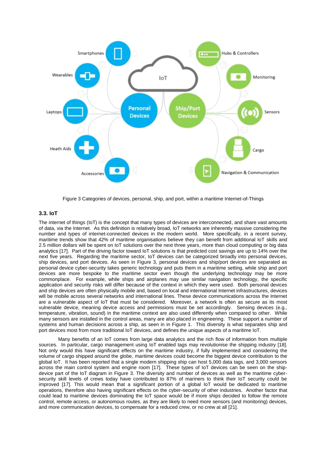

Figure 3 Categories of devices, personal, ship, and port, within a maritime Internet-of-Things

# **3.3. IoT**

The internet of things (IoT) is the concept that many types of devices are interconnected, and share vast amounts of data, via the Internet. As this definition is relatively broad, IoT networks are inherently massive considering the number and types of internet-connected devices in the modern world. More specifically, in a recent survey, maritime trends show that 42% of maritime organisations believe they can benefit from additional IoT skills and 2.5 million dollars will be spent on IoT solutions over the next three years, more than cloud computing or big data analytics [17]. Part of the driving factor toward IoT solutions is that predicted cost savings are up to 14% over the next five years. Regarding the maritime sector, IoT devices can be categorized broadly into personal devices, ship devices, and port devices. As seen in Figure 3, personal devices and ship/port devices are separated as personal device cyber-security takes generic technology and puts them in a maritime setting, while ship and port devices are more bespoke to the maritime sector even though the underlying technology may be more commonplace. For example, while ships and airplanes may use similar navigation technology, the specific application and security risks will differ because of the context in which they were used. Both personal devices and ship devices are often physically mobile and, based on local and international Internet infrastructures, devices will be mobile across several networks and international lines. These device communications across the Internet are a vulnerable aspect of IoT that must be considered. Moreover, a network is often as secure as its most vulnerable device, meaning device access and permissions must be set accordingly. Sensing devices (e.g., temperature, vibration, sound) in the maritime context are also used differently when compared to other. While many sensors are installed in the control areas, many are also placed in engineering. These support a number of systems and human decisions across a ship, as seen in in Figure 1. This diversity is what separates ship and port devices most from more traditional IoT devices, and defines the unique aspects of a maritime IoT.

Many benefits of an IoT comes from large data analytics and the rich flow of information from multiple sources. In particular, cargo management using IoT enabled tags may revolutionise the shipping industry [18]. Not only would this have significant effects on the maritime industry, if fully implemented and considering the volume of cargo shipped around the globe, maritime devices could become the biggest device contribution to the global IoT. It has been reported that a single modern shipping ship can host 5,000 data tags, and 3,000 sensors across the main control system and engine room [17]. These types of IoT devices can be seen on the shipdevice part of the IoT diagram in Figure 3. The diversity and number of devices as well as the maritime cybersecurity skill levels of crews today have contributed to 87% of mariners to think their IoT security could be improved [17]. This would mean that a significant portion of a global IoT would be dedicated to maritime operations, therefore also having significant effects on the cyber-security of other industries. Another factor that could lead to maritime devices dominating the IoT space would be if more ships decided to follow the remote control, remote access, or autonomous routes, as they are likely to need more sensors (and monitoring) devices, and more communication devices, to compensate for a reduced crew, or no crew at all [21].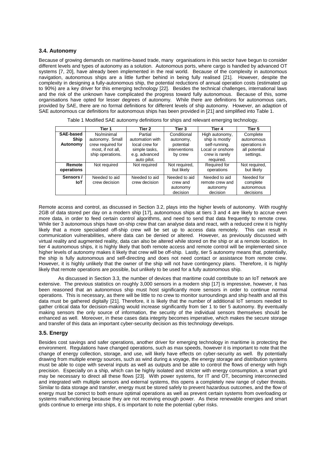### **3.4. Autonomy**

Because of growing demands on maritime-based trade, many organisations in this sector have begun to consider different levels and types of autonomy as a solution. Autonomous ports, where cargo is handled by advanced OT systems [7, 20], have already been implemented in the real world. Because of the complexity in autonomous navigation, autonomous ships are a little further behind in being fully realised [21]. However, despite the complexity in designing a fully-autonomous ship, the potential reductions of annual operation costs (estimated up to 90%) are a key driver for this emerging technology [22]. Besides the technical challenges, international laws and the risk of the unknown have complicated the progress toward fully autonomous. Because of this, some organisations have opted for lesser degrees of autonomy. While there are definitions for autonomous cars, provided by SAE, there are no formal definitions for different levels of ship autonomy. However, an adaption of SAE autonomous car definitions for autonomous ships has been provided in [21] and simplified into Table 1.

|                                      | Tier 1                                                                                      | Tier 2                                                                         | Tier 3                                                            | Tier 4                                                                                  | Tier 5                                                                |
|--------------------------------------|---------------------------------------------------------------------------------------------|--------------------------------------------------------------------------------|-------------------------------------------------------------------|-----------------------------------------------------------------------------------------|-----------------------------------------------------------------------|
| SAE-based<br><b>Ship</b><br>Autonomy | No/minimal<br>autonomy. Small<br>crew required for<br>most, if not all,<br>ship operations. | Partial<br>automation with<br>local crew for<br>simple tasks,<br>e.g. advanced | Conditional<br>autonomy,<br>potential<br>interventions<br>by crew | High autonomy,<br>ship is mostly<br>self-running.<br>Local or onshore<br>crew is rarely | Complete<br>autonomous<br>operations in<br>all potential<br>settings. |
| Remote<br>operations                 | Not required                                                                                | auto pilot.<br>Not required                                                    | Not required.<br>but likely                                       | required.<br>Required for<br>operations                                                 | Not required,<br>but likely                                           |
| Sensors /<br>IoT                     | Needed to aid<br>crew decision                                                              | Needed to aid<br>crew decision                                                 | Needed to aid<br>crew and<br>autonomy<br>decision                 | Needed to aid<br>remote crew and<br>autonomy<br>decision                                | Needed for<br>complete<br>autonomous<br>decisions                     |

Table 1 Modified SAE autonomy definitions for ships and relevant emerging technology.

Remote access and control, as discussed in Section 3.2, plays into the higher levels of autonomy. With roughly 2GB of data stored per day on a modern ship [17], autonomous ships at tiers 3 and 4 are likely to accrue even more data, in order to feed certain control algorithms, and need to send that data frequently to remote crew. While tier 3 autonomous ships have on-ship crew that can analyse data and react, with a reduced crew it is highly likely that a more specialised off-ship crew will be set up to access data remotely. This can result in communication vulnerabilities, where data can be denied or altered. However, as previously discussed with virtual reality and augmented reality, data can also be altered while stored on the ship or at a remote location. In tier 4 autonomous ships, it is highly likely that both remote access and remote control will be implemented since higher levels of autonomy makes it likely that crew will be off-ship. Lastly, tier 5 autonomy means that, potentially, the ship is fully autonomous and self-directing and does not need contact or assistance from remote crew. However, it is highly unlikely that the owner of the ship will not have contingency plans. Therefore, it is highly likely that remote operations are possible, but unlikely to be used for a fully autonomous ship.

As discussed in Section 3.3, the number of devices that maritime could contribute to an IoT network are extensive. The previous statistics on roughly 3,000 sensors in a modern ship [17] is impressive, however, it has been reasoned that an autonomous ship must host significantly more sensors in order to continue normal operations. This is necessary, as there will be little to no crew to monitor surroundings and ship health and all this data must be gathered digitally [21]. Therefore, it is likely that the number of additional IoT sensors needed to gather critical data for decision-making would increase significantly from tier 1 to tier 5 autonomy. By eventually making sensors the only source of information, the security of the individual sensors themselves should be enhanced as well. Moreover, in these cases data integrity becomes imperative, which makes the secure storage and transfer of this data an important cyber-security decision as this technology develops.

#### **3.5. Energy**

Besides cost savings and safer operations, another driver for emerging technology in maritime is protecting the environment. Regulations have changed operations, such as max speeds, however it is important to note that the change of energy collection, storage, and use, will likely have effects on cyber-security as well. By potentially drawing from multiple energy sources, such as wind during a voyage, the energy storage and distribution systems must be able to cope with several inputs as well as outputs and be able to control the flows of energy with high precision. Especially on a ship, which can be highly isolated and stricter with energy consumption, a smart grid may be necessary to direct all these flows [23]. With power systems, for IT and OT, becoming interconnected and integrated with multiple sensors and external systems, this opens a completely new range of cyber threats. Similar to data storage and transfer, energy must be stored safely to prevent hazardous outcomes, and the flow of energy must be correct to both ensure optimal operations as well as prevent certain systems from overloading or systems malfunctioning because they are not receiving enough power. As these renewable energies and smart grids continue to emerge into ships, it is important to note the potential cyber risks.